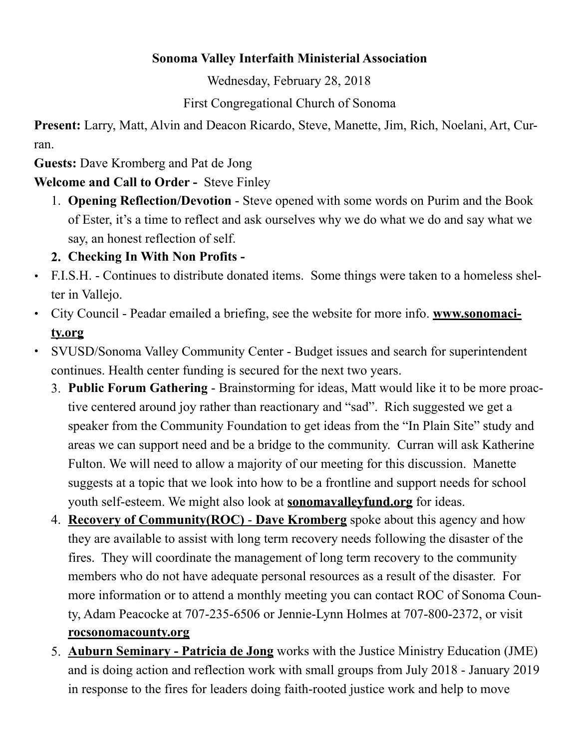#### **Sonoma Valley Interfaith Ministerial Association**

Wednesday, February 28, 2018

First Congregational Church of Sonoma

**Present:** Larry, Matt, Alvin and Deacon Ricardo, Steve, Manette, Jim, Rich, Noelani, Art, Curran.

**Guests:** Dave Kromberg and Pat de Jong

### **Welcome and Call to Order -** Steve Finley

1. **Opening Reflection/Devotion** - Steve opened with some words on Purim and the Book of Ester, it's a time to reflect and ask ourselves why we do what we do and say what we say, an honest reflection of self.

## **2. Checking In With Non Profits -**

- **•** F.I.S.H. Continues to distribute donated items. Some things were taken to a homeless shelter in Vallejo.
- **•** [City Council Peadar emailed a briefing, see the website for more info.](http://www.sonomacity.org) **www.sonomacity.org**
- **•** SVUSD/Sonoma Valley Community Center Budget issues and search for superintendent continues. Health center funding is secured for the next two years.
	- 3. **Public Forum Gathering** Brainstorming for ideas, Matt would like it to be more proactive centered around joy rather than reactionary and "sad". Rich suggested we get a speaker from the Community Foundation to get ideas from the "In Plain Site" study and areas we can support need and be a bridge to the community. Curran will ask Katherine Fulton. We will need to allow a majority of our meeting for this discussion. Manette suggests at a topic that we look into how to be a frontline and support needs for school youth self-esteem. We might also look at **[sonomavalleyfund.org](http://sonomavalleyfund.org)** for ideas.
	- 4. **Recovery of Community(ROC) Dave Kromberg** spoke about this agency and how they are available to assist with long term recovery needs following the disaster of the fires. They will coordinate the management of long term recovery to the community members who do not have adequate personal resources as a result of the disaster. For more information or to attend a monthly meeting you can contact ROC of Sonoma County, Adam Peacocke at 707-235-6506 or Jennie-Lynn Holmes at 707-800-2372, or visit **[rocsonomacounty.org](http://rocsonomacounty.org)**
	- 5. **Auburn Seminary Patricia de Jong** works with the Justice Ministry Education (JME) and is doing action and reflection work with small groups from July 2018 - January 2019 in response to the fires for leaders doing faith-rooted justice work and help to move